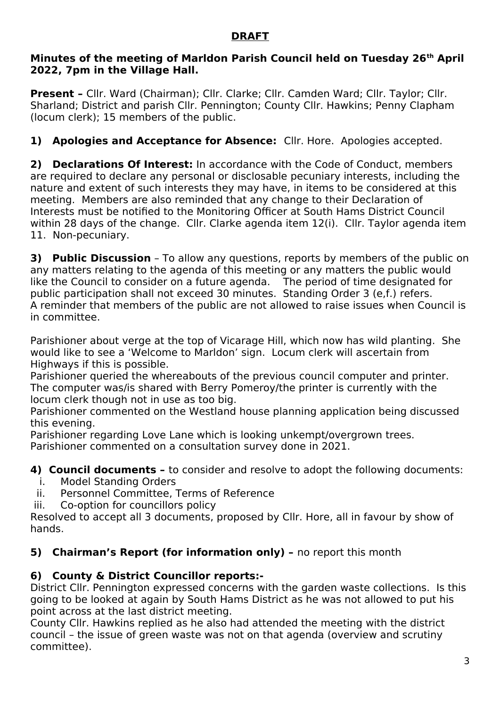### **DRAFT**

#### **Minutes of the meeting of Marldon Parish Council held on Tuesday 26th April 2022, 7pm in the Village Hall.**

**Present - Cllr. Ward (Chairman); Cllr. Clarke; Cllr. Camden Ward; Cllr. Taylor; Cllr.** Sharland; District and parish Cllr. Pennington; County Cllr. Hawkins; Penny Clapham (locum clerk); 15 members of the public.

# **1) Apologies and Acceptance for Absence:** Cllr. Hore. Apologies accepted.

**2) Declarations Of Interest:** In accordance with the Code of Conduct, members are required to declare any personal or disclosable pecuniary interests, including the nature and extent of such interests they may have, in items to be considered at this meeting. Members are also reminded that any change to their Declaration of Interests must be notified to the Monitoring Officer at South Hams District Council within 28 days of the change. Cllr. Clarke agenda item 12(i). Cllr. Taylor agenda item 11. Non-pecuniary.

**3) Public Discussion** – To allow any questions, reports by members of the public on any matters relating to the agenda of this meeting or any matters the public would like the Council to consider on a future agenda. The period of time designated for public participation shall not exceed 30 minutes. Standing Order 3 (e,f.) refers. A reminder that members of the public are not allowed to raise issues when Council is in committee.

Parishioner about verge at the top of Vicarage Hill, which now has wild planting. She would like to see a 'Welcome to Marldon' sign. Locum clerk will ascertain from Highways if this is possible.

Parishioner queried the whereabouts of the previous council computer and printer. The computer was/is shared with Berry Pomeroy/the printer is currently with the locum clerk though not in use as too big.

Parishioner commented on the Westland house planning application being discussed this evening.

Parishioner regarding Love Lane which is looking unkempt/overgrown trees. Parishioner commented on a consultation survey done in 2021.

**4) Council documents –** to consider and resolve to adopt the following documents:

- i. Model Standing Orders
- ii. Personnel Committee, Terms of Reference
- iii. Co-option for councillors policy

Resolved to accept all 3 documents, proposed by Cllr. Hore, all in favour by show of hands.

### **5) Chairman's Report (for information only)** - no report this month

### **6) County & District Councillor reports:-**

District Cllr. Pennington expressed concerns with the garden waste collections. Is this going to be looked at again by South Hams District as he was not allowed to put his point across at the last district meeting.

County Cllr. Hawkins replied as he also had attended the meeting with the district council – the issue of green waste was not on that agenda (overview and scrutiny committee).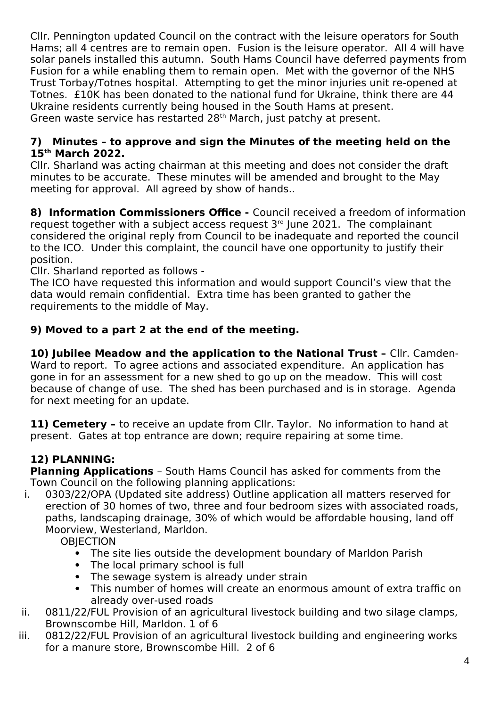Cllr. Pennington updated Council on the contract with the leisure operators for South Hams; all 4 centres are to remain open. Fusion is the leisure operator. All 4 will have solar panels installed this autumn. South Hams Council have deferred payments from Fusion for a while enabling them to remain open. Met with the governor of the NHS Trust Torbay/Totnes hospital. Attempting to get the minor injuries unit re-opened at Totnes. £10K has been donated to the national fund for Ukraine, think there are 44 Ukraine residents currently being housed in the South Hams at present. Green waste service has restarted 28<sup>th</sup> March, just patchy at present.

### **7) Minutes – to approve and sign the Minutes of the meeting held on the 15th March 2022.**

Cllr. Sharland was acting chairman at this meeting and does not consider the draft minutes to be accurate. These minutes will be amended and brought to the May meeting for approval. All agreed by show of hands..

**8) Information Commissioners Office -** Council received a freedom of information request together with a subject access request  $3<sup>rd</sup>$  June 2021. The complainant considered the original reply from Council to be inadequate and reported the council to the ICO. Under this complaint, the council have one opportunity to justify their position.

Cllr. Sharland reported as follows -

The ICO have requested this information and would support Council's view that the data would remain confidential. Extra time has been granted to gather the requirements to the middle of May.

## **9) Moved to a part 2 at the end of the meeting.**

**10) Jubilee Meadow and the application to the National Trust –** Cllr. Camden-Ward to report. To agree actions and associated expenditure. An application has gone in for an assessment for a new shed to go up on the meadow. This will cost because of change of use. The shed has been purchased and is in storage. Agenda for next meeting for an update.

**11) Cemetery -** to receive an update from Cllr. Taylor. No information to hand at present. Gates at top entrance are down; require repairing at some time.

# **12) PLANNING:**

**Planning Applications** – South Hams Council has asked for comments from the Town Council on the following planning applications:

i. 0303/22/OPA (Updated site address) Outline application all matters reserved for erection of 30 homes of two, three and four bedroom sizes with associated roads, paths, landscaping drainage, 30% of which would be affordable housing, land off Moorview, Westerland, Marldon.

**OBIECTION** 

- The site lies outside the development boundary of Marldon Parish
- The local primary school is full
- The sewage system is already under strain
- This number of homes will create an enormous amount of extra traffic on already over-used roads
- ii. 0811/22/FUL Provision of an agricultural livestock building and two silage clamps, Brownscombe Hill, Marldon. 1 of 6
- iii. 0812/22/FUL Provision of an agricultural livestock building and engineering works for a manure store, Brownscombe Hill. 2 of 6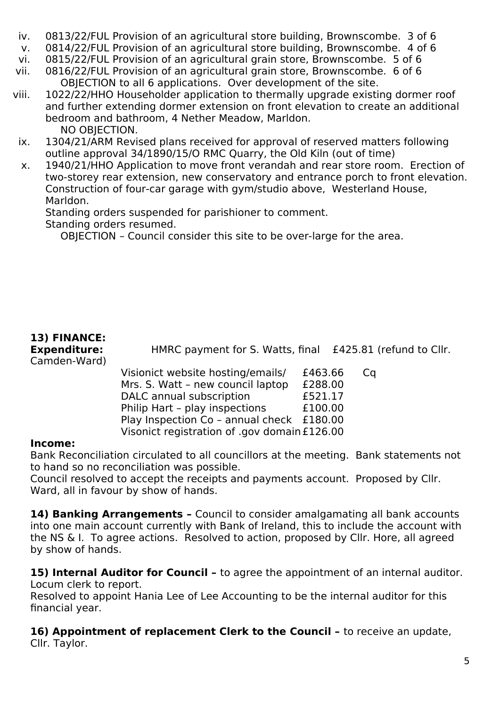- iv. 0813/22/FUL Provision of an agricultural store building, Brownscombe. 3 of 6
- v. 0814/22/FUL Provision of an agricultural store building, Brownscombe. 4 of 6
- vi. 0815/22/FUL Provision of an agricultural grain store, Brownscombe. 5 of 6
- vii. 0816/22/FUL Provision of an agricultural grain store, Brownscombe. 6 of 6 OBJECTION to all 6 applications. Over development of the site.
- viii. 1022/22/HHO Householder application to thermally upgrade existing dormer roof and further extending dormer extension on front elevation to create an additional bedroom and bathroom, 4 Nether Meadow, Marldon. NO OBJECTION.
- ix. 1304/21/ARM Revised plans received for approval of reserved matters following outline approval 34/1890/15/O RMC Quarry, the Old Kiln (out of time)
- x. 1940/21/HHO Application to move front verandah and rear store room. Erection of two-storey rear extension, new conservatory and entrance porch to front elevation. Construction of four-car garage with gym/studio above, Westerland House, Marldon.

Standing orders suspended for parishioner to comment.

Standing orders resumed.

OBJECTION – Council consider this site to be over-large for the area.

# **13) FINANCE:** Camden-Ward)

**Expenditure:** HMRC payment for S. Watts, final £425.81 (refund to Cllr.

Visionict website hosting/emails/ £463.66 Cq Mrs. S. Watt – new council laptop £288.00 DALC annual subscription **£521.17** Philip Hart - play inspections £100.00 Play Inspection Co - annual check £180.00 Visonict registration of .gov domain£126.00

### **Income:**

Bank Reconciliation circulated to all councillors at the meeting. Bank statements not to hand so no reconciliation was possible.

Council resolved to accept the receipts and payments account. Proposed by Cllr. Ward, all in favour by show of hands.

14) Banking Arrangements - Council to consider amalgamating all bank accounts into one main account currently with Bank of Ireland, this to include the account with the NS & I. To agree actions. Resolved to action, proposed by Cllr. Hore, all agreed by show of hands.

**15) Internal Auditor for Council -** to agree the appointment of an internal auditor. Locum clerk to report.

Resolved to appoint Hania Lee of Lee Accounting to be the internal auditor for this financial year.

**16) Appointment of replacement Clerk to the Council - to receive an update,** Cllr. Taylor.